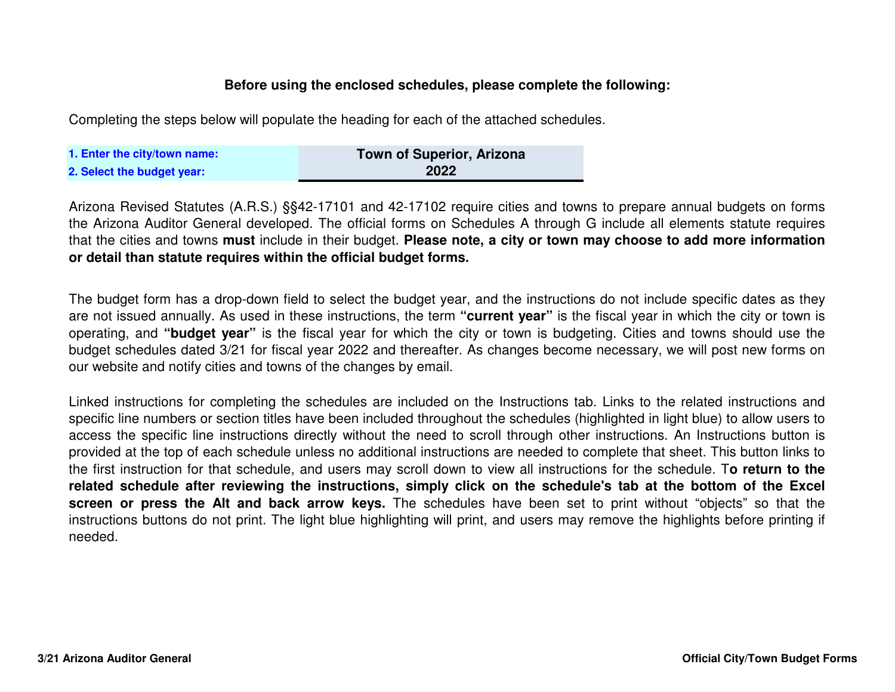## **Before using the enclosed schedules, please complete the following:**

Completing the steps below will populate the heading for each of the attached schedules.

| 1. Enter the city/town name: | Town of Superior, Arizona |
|------------------------------|---------------------------|
| 2. Select the budget year:   | 2022                      |

Arizona Revised Statutes (A.R.S.) §§42-17101 and 42-17102 require cities and towns to prepare annual budgets on forms the Arizona Auditor General developed. The official forms on Schedules A through G include all elements statute requiresthat the cities and towns <mark>must</mark> include in their budget. **Please note, a city or town may choose to add more information or detail than statute requires within the official budget forms.**

The budget form has <sup>a</sup> drop-down field to select the budget year, and the instructions do not include specific dates as they are not issued annually. As used in these instructions, the term **"current year"** is the fiscal year in which the city or town is operating, and **"budget year"** is the fiscal year for which the city or town is budgeting. Cities and towns should use the budget schedules dated 3/21 for fiscal year 2022 and thereafter. As changes become necessary, we will post new forms onour website and notify cities and towns of the changes by email.

Linked instructions for completing the schedules are included on the Instructions tab. Links to the related instructions and specific line numbers or section titles have been included throughout the schedules (highlighted in light blue) to allow users to access the specific line instructions directly without the need to scroll through other instructions. An Instructions button is provided at the top of each schedule unless no additional instructions are needed to complete that sheet. This button links to the first instruction for that schedule, and users may scroll down to view all instructions for the schedule. T**<sup>o</sup> return to the**related schedule after reviewing the instructions, simply click on the schedule's tab at the bottom of the Excel screen or press the Alt and back arrow keys. The schedules have been set to print without "objects" so that the instructions buttons do not print. The light blue highlighting will print, and users may remove the highlights before printing if needed.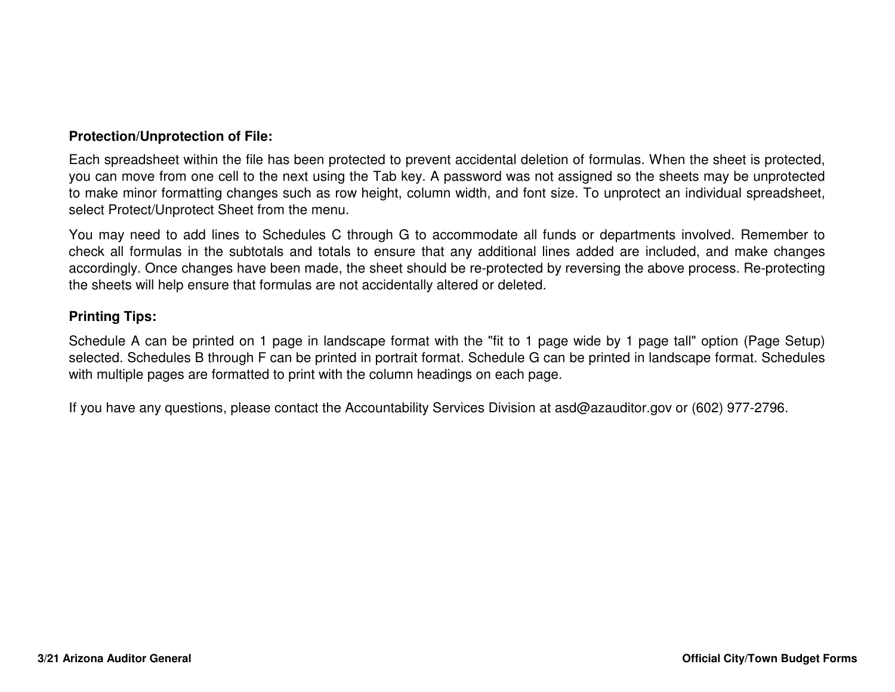## **Protection/Unprotection of File:**

Each spreadsheet within the file has been protected to prevent accidental deletion of formulas. When the sheet is protected, you can move from one cell to the next using the Tab key. A password was not assigned so the sheets may be unprotected to make minor formatting changes such as row height, column width, and font size. To unprotect an individual spreadsheet, select Protect/Unprotect Sheet from the menu.

You may need to add lines to Schedules C through G to accommodate all funds or departments involved. Remember to check all formulas in the subtotals and totals to ensure that any additional lines added are included, and make changes accordingly. Once changes have been made, the sheet should be re-protected by reversing the above process. Re-protectingthe sheets will help ensure that formulas are not accidentally altered or deleted.

## **Printing Tips:**

Schedule A can be printed on <sup>1</sup> page in landscape format with the "fit to <sup>1</sup> page wide by <sup>1</sup> page tall" option (Page Setup) selected. Schedules B through F can be printed in portrait format. Schedule G can be printed in landscape format. Scheduleswith multiple pages are formatted to print with the column headings on each page.

If you have any questions, please contact the Accountability Services Division at asd@azauditor.gov or (602) 977-2796.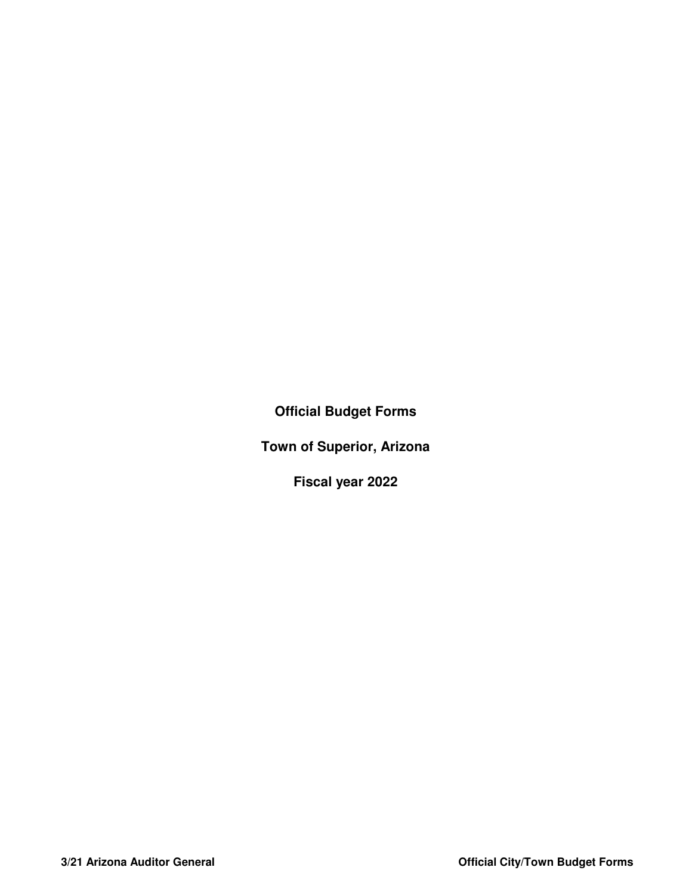**Official Budget Forms**

**Town of Superior, Arizona**

**Fiscal year 2022**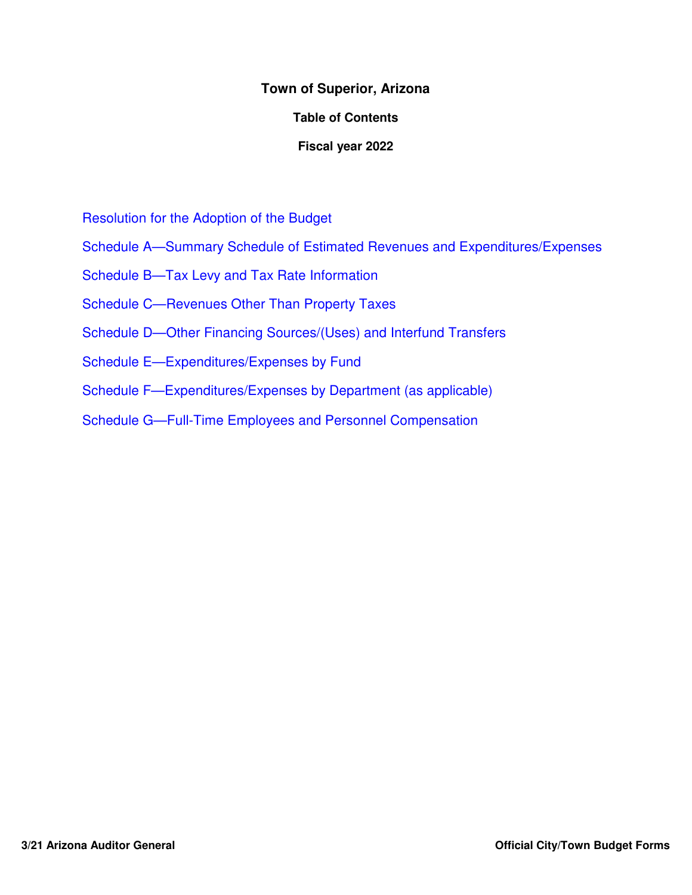## **Town of Superior, Arizona**

## **Table of Contents**

## **Fiscal year 2022**

Resolution for the Adoption of the Budget

- Schedule A—Summary Schedule of Estimated Revenues and Expenditures/Expenses
- Schedule B—Tax Levy and Tax Rate Information
- Schedule C—Revenues Other Than Property Taxes
- Schedule D—Other Financing Sources/(Uses) and Interfund Transfers
- Schedule E—Expenditures/Expenses by Fund
- Schedule F—Expenditures/Expenses by Department (as applicable)
- Schedule G—Full-Time Employees and Personnel Compensation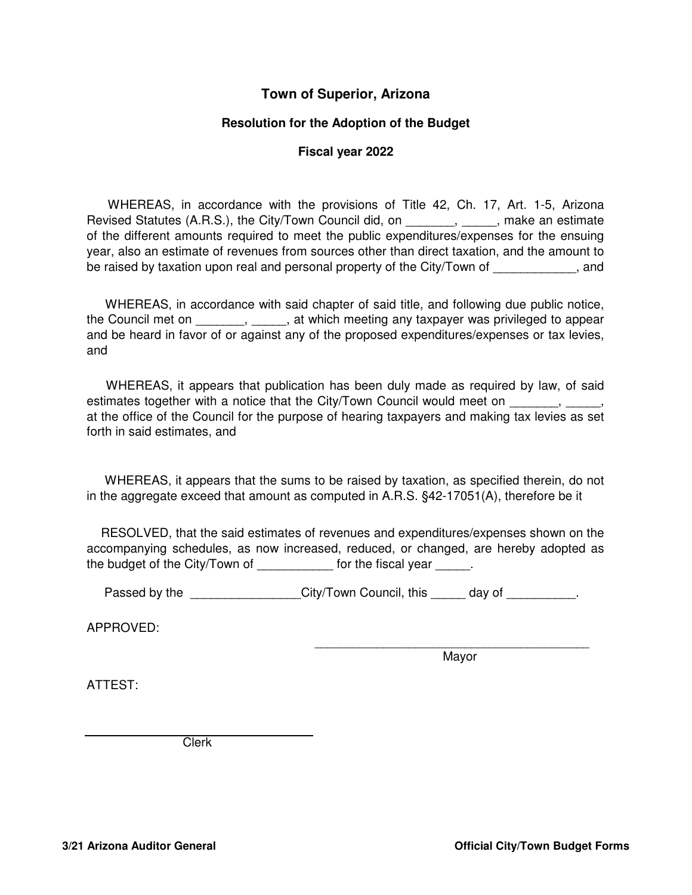## **Town of Superior, Arizona**

## **Resolution for the Adoption of the Budget**

#### **Fiscal year 2022**

WHEREAS, in accordance with the provisions of Title 42, Ch. 17, Art. 1-5, Arizona Revised Statutes (A.R.S.), the City/Town Council did, on \_\_\_\_\_\_\_, \_\_\_\_\_, make an estimate of the different amounts required to meet the public expenditures/expenses for the ensuing year, also an estimate of revenues from sources other than direct taxation, and the amount to be raised by taxation upon real and personal property of the City/Town of \_\_\_\_\_\_\_\_\_\_, and

WHEREAS, in accordance with said chapter of said title, and following due public notice, the Council met on \_\_\_\_\_\_\_, \_\_\_\_\_, at which meeting any taxpayer was privileged to appear and be heard in favor of or against any of the proposed expenditures/expenses or tax levies, and

WHEREAS, it appears that publication has been duly made as required by law, of said estimates together with a notice that the City/Town Council would meet on \_\_\_\_\_\_, at the office of the Council for the purpose of hearing taxpayers and making tax levies as set forth in said estimates, and

WHEREAS, it appears that the sums to be raised by taxation, as specified therein, do not in the aggregate exceed that amount as computed in A.R.S. §42-17051(A), therefore be it

RESOLVED, that the said estimates of revenues and expenditures/expenses shown on the accompanying schedules, as now increased, reduced, or changed, are hereby adopted as the budget of the City/Town of \_\_\_\_\_\_\_\_\_\_\_\_ for the fiscal year \_\_\_\_\_.

Passed by the \_\_\_\_\_\_\_\_\_\_\_\_\_\_\_City/Town Council, this \_\_\_\_\_ day of \_\_\_\_\_\_\_\_\_.

APPROVED:

Mayor

\_\_\_\_\_\_\_\_\_\_\_\_\_\_\_\_\_\_\_\_\_\_\_\_\_\_\_\_\_\_\_\_\_\_\_\_\_\_\_\_\_\_\_\_

ATTEST:

Clerk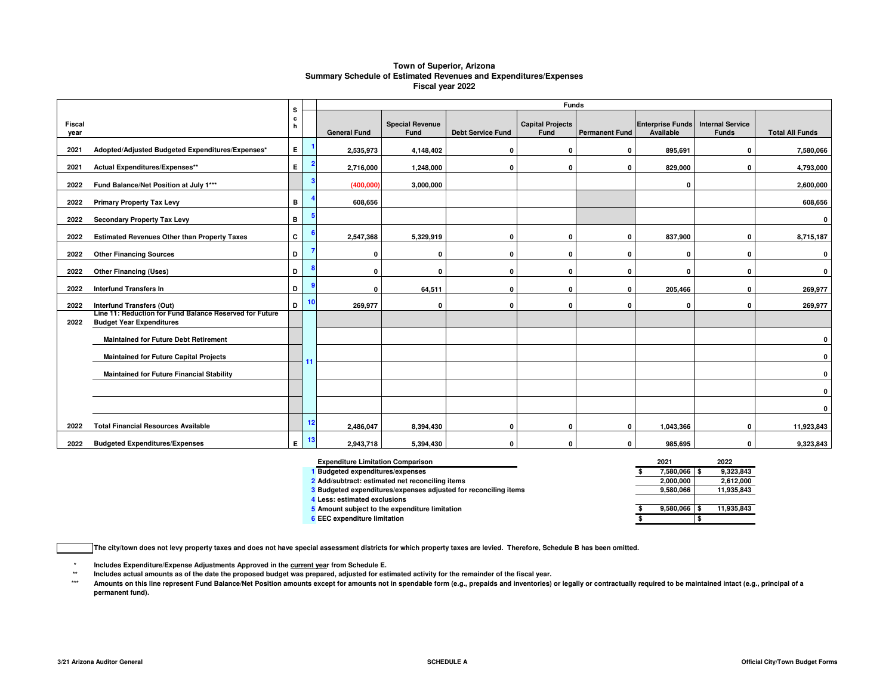#### **Town of Superior, Arizona Summary Schedule of Estimated Revenues and Expenditures/ExpensesFiscal year 2022**

|                |                                                                                            | s      |    | <b>Funds</b>        |                                |                          |                                 |                       |                                      |                                         |                        |  |  |
|----------------|--------------------------------------------------------------------------------------------|--------|----|---------------------|--------------------------------|--------------------------|---------------------------------|-----------------------|--------------------------------------|-----------------------------------------|------------------------|--|--|
| Fiscal<br>year |                                                                                            | c<br>h |    | <b>General Fund</b> | <b>Special Revenue</b><br>Fund | <b>Debt Service Fund</b> | <b>Capital Projects</b><br>Fund | <b>Permanent Fund</b> | <b>Enterprise Funds</b><br>Available | <b>Internal Service</b><br><b>Funds</b> | <b>Total All Funds</b> |  |  |
| 2021           | Adopted/Adjusted Budgeted Expenditures/Expenses*                                           | E.     |    | 2,535,973           | 4,148,402                      | 0                        | $\mathbf 0$                     | 0                     | 895,691                              | 0                                       | 7,580,066              |  |  |
| 2021           | Actual Expenditures/Expenses**                                                             | E.     |    | 2,716,000           | 1,248,000                      | $\mathbf{0}$             | $\mathbf{0}$                    | 0                     | 829,000                              | 0                                       | 4,793,000              |  |  |
| 2022           | Fund Balance/Net Position at July 1***                                                     |        | 3  | (400,000)           | 3,000,000                      |                          |                                 |                       | 0                                    |                                         | 2,600,000              |  |  |
| 2022           | <b>Primary Property Tax Levy</b>                                                           | в      |    | 608,656             |                                |                          |                                 |                       |                                      |                                         | 608,656                |  |  |
| 2022           | <b>Secondary Property Tax Levy</b>                                                         | в      |    |                     |                                |                          |                                 |                       |                                      |                                         | $\mathbf 0$            |  |  |
| 2022           | <b>Estimated Revenues Other than Property Taxes</b>                                        | c      |    | 2,547,368           | 5,329,919                      | 0                        | $\mathbf 0$                     | 0                     | 837,900                              | 0                                       | 8,715,187              |  |  |
| 2022           | <b>Other Financing Sources</b>                                                             | D      |    | 0                   | 0                              | 0                        | $\Omega$                        | $\mathbf{0}$          | $\mathbf{0}$                         | 0                                       | $\mathbf{0}$           |  |  |
| 2022           | <b>Other Financing (Uses)</b>                                                              | D      |    | 0                   | $\Omega$                       | $\Omega$                 | 0                               | 0                     | $\mathbf{0}$                         | 0                                       | $\mathbf{0}$           |  |  |
| 2022           | <b>Interfund Transfers In</b>                                                              | D      |    | O                   | 64,511                         | 0                        | $\mathbf 0$                     | 0                     | 205,466                              | 0                                       | 269,977                |  |  |
| 2022           | <b>Interfund Transfers (Out)</b>                                                           | D      | 10 | 269.977             | 0                              | 0                        | $\mathbf 0$                     | 0                     | 0                                    | 0                                       | 269,977                |  |  |
| 2022           | Line 11: Reduction for Fund Balance Reserved for Future<br><b>Budget Year Expenditures</b> |        |    |                     |                                |                          |                                 |                       |                                      |                                         |                        |  |  |
|                | <b>Maintained for Future Debt Retirement</b>                                               |        |    |                     |                                |                          |                                 |                       |                                      |                                         | $\mathbf{0}$           |  |  |
|                | <b>Maintained for Future Capital Projects</b>                                              |        | 11 |                     |                                |                          |                                 |                       |                                      |                                         | $\mathbf{0}$           |  |  |
|                | <b>Maintained for Future Financial Stability</b>                                           |        |    |                     |                                |                          |                                 |                       |                                      |                                         | $\mathbf 0$            |  |  |
|                |                                                                                            |        |    |                     |                                |                          |                                 |                       |                                      |                                         | $\mathbf{0}$           |  |  |
|                |                                                                                            |        |    |                     |                                |                          |                                 |                       |                                      |                                         | 0                      |  |  |
| 2022           | <b>Total Financial Resources Available</b>                                                 |        | 12 | 2,486,047           | 8,394,430                      | 0                        | $\Omega$                        | 0                     | 1,043,366                            | ŋ                                       | 11,923,843             |  |  |
| 2022           | <b>Budgeted Expenditures/Expenses</b>                                                      | E.     | 13 | 2,943,718           | 5,394,430                      | 0                        | $\mathbf{0}$                    | $\mathbf{0}$          | 985,695                              | 0                                       | 9,323,843              |  |  |

| <b>Expenditure Limitation Comparison</b>                        | 2021      | 2022       |
|-----------------------------------------------------------------|-----------|------------|
| <b>Budgeted expenditures/expenses</b>                           | 7.580.066 | 9.323.843  |
| 2 Add/subtract: estimated net reconciling items                 | 2.000.000 | 2,612,000  |
| 3 Budgeted expenditures/expenses adjusted for reconciling items | 9.580.066 | 11,935,843 |
| 4 Less: estimated exclusions                                    |           |            |
| 5 Amount subject to the expenditure limitation                  | 9.580.066 | 11,935,843 |
| 6 EEC expenditure limitation                                    |           |            |

**The city/town does not levy property taxes and does not have special assessment districts for which property taxes are levied. Therefore, Schedule B has been omitted.**

**\*Includes Expenditure/Expense Adjustments Approved in the current year from Schedule E.** 

 **\*\*Includes actual amounts as of the date the proposed budget was prepared, adjusted for estimated activity for the remainder of the fiscal year.**

 **\*\*\***Amounts on this line represent Fund Balance/Net Position amounts except for amounts not in spendable form (e.g., prepaids and inventories) or legally or contractually required to be maintained intact (e.g., principal of a **permanent fund).**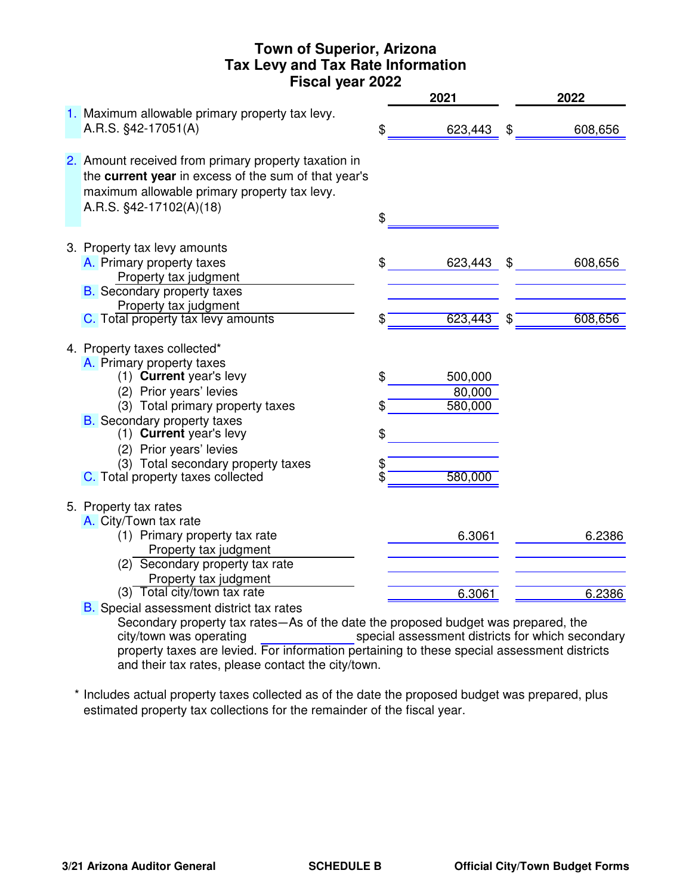# **Town of Superior, Arizona Tax Levy and Tax Rate Information Fiscal year 2022**

|                                                                                                                                                                                                                                                                                                                            |                            | 2021                                    |                            | 2022    |
|----------------------------------------------------------------------------------------------------------------------------------------------------------------------------------------------------------------------------------------------------------------------------------------------------------------------------|----------------------------|-----------------------------------------|----------------------------|---------|
| 1. Maximum allowable primary property tax levy.<br>A.R.S. §42-17051(A)                                                                                                                                                                                                                                                     | \$                         | 623,443                                 | $\boldsymbol{\mathsf{\$}}$ | 608,656 |
| 2. Amount received from primary property taxation in<br>the current year in excess of the sum of that year's<br>maximum allowable primary property tax levy.<br>A.R.S. §42-17102(A)(18)                                                                                                                                    | \$                         |                                         |                            |         |
| 3. Property tax levy amounts<br>A. Primary property taxes<br>Property tax judgment<br><b>B.</b> Secondary property taxes                                                                                                                                                                                                   | \$                         | 623,443                                 | \$                         | 608,656 |
| Property tax judgment<br>C. Total property tax levy amounts                                                                                                                                                                                                                                                                | \$                         | 623,443                                 | \$                         | 608,656 |
| 4. Property taxes collected*<br>A. Primary property taxes<br>(1) Current year's levy<br>(2) Prior years' levies<br>(3) Total primary property taxes<br><b>B.</b> Secondary property taxes<br>(1) Current year's levy<br>(2) Prior years' levies<br>(3) Total secondary property taxes<br>C. Total property taxes collected | \$<br>\$<br>\$<br>\$<br>\$ | 500,000<br>80,000<br>580,000<br>580,000 |                            |         |
| 5. Property tax rates<br>A. City/Town tax rate<br>(1) Primary property tax rate<br>Property tax judgment                                                                                                                                                                                                                   |                            | 6.3061                                  |                            | 6.2386  |
| (2) Secondary property tax rate<br>Property tax judgment<br>(3) Total city/town tax rate<br><b>B.</b> Special assessment district tax rates                                                                                                                                                                                |                            | 6.3061                                  |                            | 6.2386  |

Secondary property tax rates—As of the date the proposed budget was prepared, the special assessment districts for which secondary property taxes are levied. For information pertaining to these special assessment districts and their tax rates, please contact the city/town. city/town was operating

\* Includes actual property taxes collected as of the date the proposed budget was prepared, plus estimated property tax collections for the remainder of the fiscal year.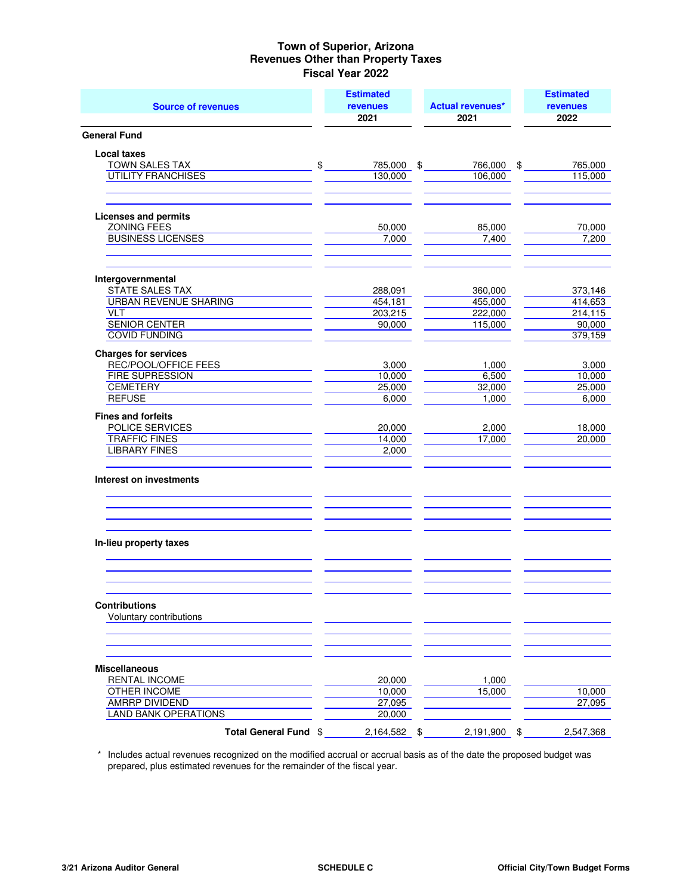| <b>Source of revenues</b>                    |    | <b>Estimated</b><br><b>revenues</b><br>2021 |    | <b>Actual revenues*</b><br>2021 |    | <b>Estimated</b><br><b>revenues</b><br>2022 |
|----------------------------------------------|----|---------------------------------------------|----|---------------------------------|----|---------------------------------------------|
| <b>General Fund</b>                          |    |                                             |    |                                 |    |                                             |
| <b>Local taxes</b>                           |    |                                             |    |                                 |    |                                             |
| TOWN SALES TAX                               | \$ | 785,000 \$                                  |    | 766,000 \$                      |    | 765,000                                     |
| <b>UTILITY FRANCHISES</b>                    |    | 130,000                                     |    | 106,000                         |    | 115,000                                     |
| <b>Licenses and permits</b>                  |    |                                             |    |                                 |    |                                             |
| <b>ZONING FEES</b>                           |    | 50.000                                      |    | 85,000                          |    | 70,000                                      |
| <b>BUSINESS LICENSES</b>                     |    | 7,000                                       |    | 7,400                           |    | 7,200                                       |
| Intergovernmental                            |    |                                             |    |                                 |    |                                             |
| STATE SALES TAX                              |    | 288,091                                     |    | 360,000                         |    | 373,146                                     |
| <b>URBAN REVENUE SHARING</b>                 |    | 454,181                                     |    | 455,000                         |    | 414,653                                     |
| <b>VLT</b>                                   |    | 203,215                                     |    | 222,000                         |    | 214,115                                     |
| <b>SENIOR CENTER</b><br><b>COVID FUNDING</b> |    | 90,000                                      |    | 115,000                         |    | 90,000<br>379,159                           |
| <b>Charges for services</b>                  |    |                                             |    |                                 |    |                                             |
| REC/POOL/OFFICE FEES                         |    | 3,000                                       |    | 1,000                           |    | 3,000                                       |
| <b>FIRE SUPRESSION</b>                       |    | 10,000                                      |    | 6,500                           |    | 10,000                                      |
| <b>CEMETERY</b>                              |    | 25,000                                      |    | 32,000                          |    | 25,000                                      |
| <b>REFUSE</b>                                |    | 6,000                                       |    | 1,000                           |    | 6,000                                       |
| <b>Fines and forfeits</b>                    |    |                                             |    |                                 |    |                                             |
| POLICE SERVICES                              |    | 20,000                                      |    | 2,000                           |    | 18,000                                      |
| <b>TRAFFIC FINES</b><br><b>LIBRARY FINES</b> |    | 14,000<br>2,000                             |    | 17,000                          |    | 20,000                                      |
|                                              |    |                                             |    |                                 |    |                                             |
| Interest on investments                      |    |                                             |    |                                 |    |                                             |
| In-lieu property taxes                       |    |                                             |    |                                 |    |                                             |
|                                              |    |                                             |    |                                 |    |                                             |
| <b>Contributions</b>                         |    |                                             |    |                                 |    |                                             |
| Voluntary contributions                      |    |                                             |    |                                 |    |                                             |
| <b>Miscellaneous</b>                         |    |                                             |    |                                 |    |                                             |
| RENTAL INCOME                                |    | 20,000                                      |    | 1,000                           |    |                                             |
| <b>OTHER INCOME</b>                          |    | 10,000                                      |    | 15,000                          |    | 10,000                                      |
| <b>AMRRP DIVIDEND</b>                        |    | 27,095                                      |    |                                 |    | 27,095                                      |
| <b>LAND BANK OPERATIONS</b>                  |    | 20,000                                      |    |                                 |    |                                             |
| Total General Fund \$                        |    | 2,164,582                                   | \$ | 2,191,900                       | \$ | 2,547,368                                   |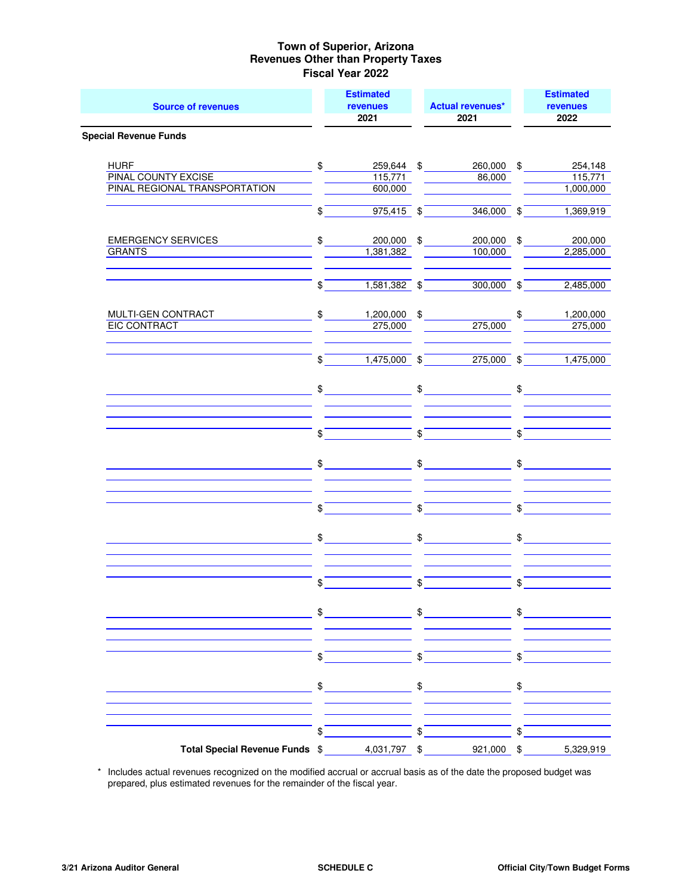| <b>Source of revenues</b>                                                  |                | <b>Estimated</b><br><b>revenues</b><br>2021 |                         | <b>Actual revenues*</b><br>2021    |               | <b>Estimated</b><br>revenues<br>2022 |
|----------------------------------------------------------------------------|----------------|---------------------------------------------|-------------------------|------------------------------------|---------------|--------------------------------------|
| <b>Special Revenue Funds</b>                                               |                |                                             |                         |                                    |               |                                      |
| <b>HURF</b><br><b>PINAL COUNTY EXCISE</b><br>PINAL REGIONAL TRANSPORTATION |                | $\mathbb{S}$<br>115,771<br>600,000          |                         | 259,644 \$<br>260,000 \$<br>86,000 |               | 254,148<br>115,771<br>1,000,000      |
|                                                                            | $\$\$          | $975,415$ \$                                |                         | $346,000$ \$                       |               | 1,369,919                            |
| <b>EMERGENCY SERVICES</b><br><b>GRANTS</b>                                 | $\mathfrak{S}$ | 200,000 \$<br>1,381,382                     |                         | 200,000 \$<br>100,000              |               | 200,000<br>2,285,000                 |
|                                                                            | $\frac{1}{2}$  | $1,581,382$ \$                              |                         | $300,000$ \$                       |               | 2,485,000                            |
| MULTI-GEN CONTRACT<br><b>EIC CONTRACT</b>                                  | $\mathfrak{S}$ | 1,200,000 \$<br>275,000                     |                         | 275,000                            | \$            | 1,200,000<br>275,000                 |
|                                                                            | \$             | $1,475,000$ \$                              |                         | $275,000$ \$                       |               | 1,475,000                            |
|                                                                            |                | $\mathfrak{S}$                              |                         | $\updownarrow$                     |               | $\frac{1}{2}$                        |
|                                                                            | $\frac{1}{2}$  |                                             | $\sqrt[6]{}$            |                                    | \$            |                                      |
|                                                                            | $\frac{1}{2}$  |                                             | \$                      |                                    | \$            |                                      |
|                                                                            | \$             |                                             | \$                      |                                    | \$            |                                      |
|                                                                            |                | $\frac{1}{2}$                               | $\frac{1}{2}$           |                                    | $\mathsf{\$}$ |                                      |
|                                                                            | $\frac{1}{2}$  |                                             | $\sqrt[6]{\frac{1}{2}}$ |                                    | $\sqrt{s}$    |                                      |
|                                                                            | \$             | <u> 1999 - Jan Jawa</u>                     |                         | $\frac{1}{2}$                      | \$            |                                      |
|                                                                            | \$             |                                             | \$                      |                                    | \$            |                                      |
|                                                                            | \$             |                                             | \$                      |                                    | \$            |                                      |
|                                                                            | \$             |                                             | \$                      |                                    |               |                                      |
| Total Special Revenue Funds \$                                             |                | 4,031,797 \$                                |                         | 921,000 \$                         |               | 5,329,919                            |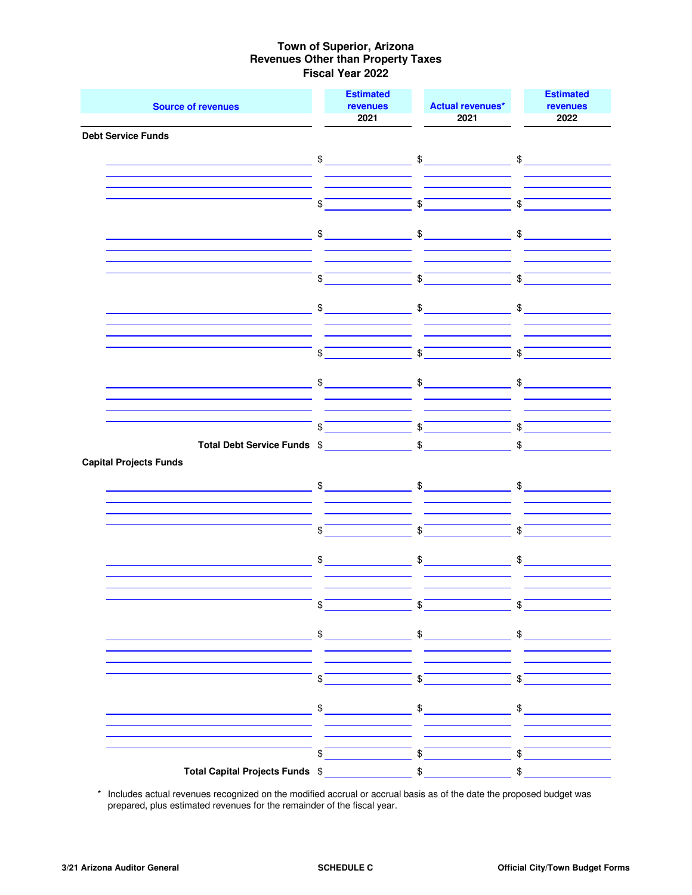|                                                                 | <b>Estimated</b>           |                                                                                                                                                                                                                                                                                                                     | <b>Estimated</b>        |
|-----------------------------------------------------------------|----------------------------|---------------------------------------------------------------------------------------------------------------------------------------------------------------------------------------------------------------------------------------------------------------------------------------------------------------------|-------------------------|
| <b>Source of revenues</b>                                       | <b>revenues</b><br>2021    | <b>Actual revenues*</b><br>2021                                                                                                                                                                                                                                                                                     | revenues<br>2022        |
| <b>Debt Service Funds</b>                                       |                            |                                                                                                                                                                                                                                                                                                                     |                         |
|                                                                 |                            |                                                                                                                                                                                                                                                                                                                     |                         |
| <u> 1980 - Johann Barnett, fransk politik (</u>                 | $\sim$                     | $\mathfrak s$                                                                                                                                                                                                                                                                                                       | $\mathfrak{S}$          |
|                                                                 |                            |                                                                                                                                                                                                                                                                                                                     |                         |
|                                                                 | $\boldsymbol{\mathcal{S}}$ | $\int$                                                                                                                                                                                                                                                                                                              | $\sqrt[3]{\qquad}$      |
|                                                                 |                            |                                                                                                                                                                                                                                                                                                                     |                         |
|                                                                 | $\frac{1}{2}$              | $\mathfrak{S}$                                                                                                                                                                                                                                                                                                      | $\frac{1}{2}$           |
|                                                                 |                            |                                                                                                                                                                                                                                                                                                                     |                         |
|                                                                 | \$                         | \$                                                                                                                                                                                                                                                                                                                  | \$                      |
|                                                                 |                            |                                                                                                                                                                                                                                                                                                                     |                         |
|                                                                 | \$                         | \$                                                                                                                                                                                                                                                                                                                  | \$                      |
|                                                                 |                            |                                                                                                                                                                                                                                                                                                                     |                         |
|                                                                 | $\boldsymbol{\mathcal{S}}$ | $\int$                                                                                                                                                                                                                                                                                                              | $\frac{1}{2}$           |
|                                                                 |                            |                                                                                                                                                                                                                                                                                                                     |                         |
|                                                                 | $\frac{1}{2}$              | $$\overline{\phantom{a}}$$                                                                                                                                                                                                                                                                                          | $\frac{1}{2}$           |
|                                                                 |                            |                                                                                                                                                                                                                                                                                                                     |                         |
|                                                                 | \$                         | $\mathcal{S}$                                                                                                                                                                                                                                                                                                       | \$                      |
|                                                                 |                            |                                                                                                                                                                                                                                                                                                                     |                         |
| Total Debt Service Funds \$ \$<br><b>Capital Projects Funds</b> |                            |                                                                                                                                                                                                                                                                                                                     | \$                      |
|                                                                 |                            |                                                                                                                                                                                                                                                                                                                     |                         |
|                                                                 | $\frac{1}{2}$              | $\frac{1}{2}$                                                                                                                                                                                                                                                                                                       | $\frac{1}{2}$           |
|                                                                 |                            |                                                                                                                                                                                                                                                                                                                     |                         |
|                                                                 | $\frac{1}{2}$              | $\int$                                                                                                                                                                                                                                                                                                              | $\frac{1}{2}$           |
|                                                                 |                            |                                                                                                                                                                                                                                                                                                                     |                         |
|                                                                 | $\mathfrak{S}$             | $\mathfrak{S}$                                                                                                                                                                                                                                                                                                      | $\mathfrak{S}$          |
|                                                                 |                            |                                                                                                                                                                                                                                                                                                                     |                         |
|                                                                 | $\frac{1}{2}$              | $\sqrt[3]{\ }$                                                                                                                                                                                                                                                                                                      | $\sqrt[6]{\frac{1}{2}}$ |
|                                                                 |                            |                                                                                                                                                                                                                                                                                                                     |                         |
|                                                                 |                            |                                                                                                                                                                                                                                                                                                                     |                         |
|                                                                 |                            |                                                                                                                                                                                                                                                                                                                     |                         |
|                                                                 |                            |                                                                                                                                                                                                                                                                                                                     |                         |
|                                                                 | $\frac{1}{2}$              | $\sqrt[6]{\frac{1}{2}}$                                                                                                                                                                                                                                                                                             | $\sqrt{s}$              |
|                                                                 |                            | $\frac{1}{2}$ $\frac{1}{2}$ $\frac{1}{2}$ $\frac{1}{2}$ $\frac{1}{2}$ $\frac{1}{2}$ $\frac{1}{2}$ $\frac{1}{2}$ $\frac{1}{2}$ $\frac{1}{2}$ $\frac{1}{2}$ $\frac{1}{2}$ $\frac{1}{2}$ $\frac{1}{2}$ $\frac{1}{2}$ $\frac{1}{2}$ $\frac{1}{2}$ $\frac{1}{2}$ $\frac{1}{2}$ $\frac{1}{2}$ $\frac{1}{2}$ $\frac{1}{2}$ | $\updownarrow$          |
|                                                                 |                            |                                                                                                                                                                                                                                                                                                                     |                         |
|                                                                 |                            |                                                                                                                                                                                                                                                                                                                     |                         |
|                                                                 |                            | $\int$                                                                                                                                                                                                                                                                                                              | $\int$                  |
| Total Capital Projects Funds \$                                 |                            |                                                                                                                                                                                                                                                                                                                     | $\frac{1}{2}$           |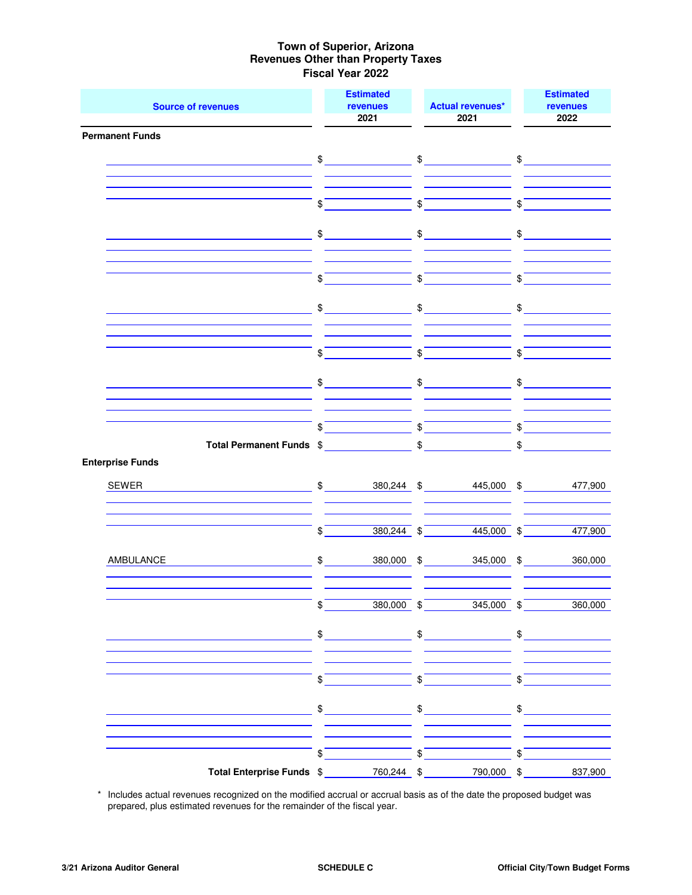| <b>Source of revenues</b>                       |                            | <b>Estimated</b><br>revenues |               | <b>Actual revenues*</b>                                                                                                                                                                                                                                                                                                                                                                                                                                         |                         | <b>Estimated</b><br>revenues  |
|-------------------------------------------------|----------------------------|------------------------------|---------------|-----------------------------------------------------------------------------------------------------------------------------------------------------------------------------------------------------------------------------------------------------------------------------------------------------------------------------------------------------------------------------------------------------------------------------------------------------------------|-------------------------|-------------------------------|
|                                                 |                            | 2021                         |               | 2021                                                                                                                                                                                                                                                                                                                                                                                                                                                            |                         | 2022                          |
| <b>Permanent Funds</b>                          |                            |                              |               |                                                                                                                                                                                                                                                                                                                                                                                                                                                                 |                         |                               |
| <u> 1989 - Johann Barnett, fransk politik (</u> |                            |                              |               | $\begin{array}{ccc}\n\text{\$} & \text{\$} & \text{\$} & \text{\$} & \text{\$} & \text{\$} & \text{\$} & \text{\$} & \text{\$} & \text{\$} & \text{\$} & \text{\$} & \text{\$} & \text{\$} & \text{\$} & \text{\$} & \text{\$} & \text{\$} & \text{\$} & \text{\$} & \text{\$} & \text{\$} & \text{\$} & \text{\$} & \text{\$} & \text{\$} & \text{\$} & \text{\$} & \text{\$} & \text{\$} & \text{\$} & \text{\$} & \text{\$} & \text{\$} & \text{\$} & \text$ |                         |                               |
|                                                 |                            |                              |               |                                                                                                                                                                                                                                                                                                                                                                                                                                                                 |                         |                               |
|                                                 |                            |                              |               |                                                                                                                                                                                                                                                                                                                                                                                                                                                                 |                         |                               |
|                                                 | $\boldsymbol{\mathcal{S}}$ |                              |               | $\int$                                                                                                                                                                                                                                                                                                                                                                                                                                                          | $\overline{\text{S}}$   |                               |
|                                                 |                            |                              |               |                                                                                                                                                                                                                                                                                                                                                                                                                                                                 |                         |                               |
|                                                 |                            | $\mathfrak{S}$               |               | $\textcircled{f}$ $\textcircled{f}$                                                                                                                                                                                                                                                                                                                                                                                                                             |                         |                               |
|                                                 |                            |                              |               |                                                                                                                                                                                                                                                                                                                                                                                                                                                                 |                         |                               |
|                                                 |                            |                              |               |                                                                                                                                                                                                                                                                                                                                                                                                                                                                 |                         |                               |
|                                                 | \$                         |                              | $\$\$         |                                                                                                                                                                                                                                                                                                                                                                                                                                                                 | \$                      |                               |
|                                                 | \$                         |                              | \$            |                                                                                                                                                                                                                                                                                                                                                                                                                                                                 | $\frac{1}{2}$           |                               |
|                                                 |                            |                              |               |                                                                                                                                                                                                                                                                                                                                                                                                                                                                 |                         |                               |
|                                                 |                            |                              |               |                                                                                                                                                                                                                                                                                                                                                                                                                                                                 |                         |                               |
|                                                 | $\mathfrak{S}$             |                              | $\frac{1}{2}$ |                                                                                                                                                                                                                                                                                                                                                                                                                                                                 | \$                      |                               |
|                                                 |                            |                              |               |                                                                                                                                                                                                                                                                                                                                                                                                                                                                 |                         |                               |
|                                                 |                            | $\bigoplus$                  |               | $\bigoplus$                                                                                                                                                                                                                                                                                                                                                                                                                                                     |                         | $$\overbrace{\qquad \qquad }$ |
|                                                 |                            |                              |               |                                                                                                                                                                                                                                                                                                                                                                                                                                                                 |                         |                               |
|                                                 | \$                         |                              |               | $\int$                                                                                                                                                                                                                                                                                                                                                                                                                                                          | \$                      |                               |
|                                                 |                            |                              |               |                                                                                                                                                                                                                                                                                                                                                                                                                                                                 |                         |                               |
| Total Permanent Funds \$ \$                     |                            |                              |               |                                                                                                                                                                                                                                                                                                                                                                                                                                                                 | \$                      |                               |
| <b>Enterprise Funds</b>                         |                            |                              |               |                                                                                                                                                                                                                                                                                                                                                                                                                                                                 |                         |                               |
| SEWER                                           |                            |                              |               | \$ 380,244 \$ 445,000 \$ 477,900                                                                                                                                                                                                                                                                                                                                                                                                                                |                         |                               |
|                                                 |                            |                              |               |                                                                                                                                                                                                                                                                                                                                                                                                                                                                 |                         |                               |
|                                                 |                            |                              |               |                                                                                                                                                                                                                                                                                                                                                                                                                                                                 |                         |                               |
|                                                 | $\frac{1}{2}$              |                              |               | $380,244$ \$<br>$445,000$ \$                                                                                                                                                                                                                                                                                                                                                                                                                                    |                         | 477,900                       |
| AMBULANCE                                       | $\frac{1}{2}$              |                              |               | 380,000 \$<br>345,000 \$                                                                                                                                                                                                                                                                                                                                                                                                                                        |                         | 360,000                       |
|                                                 |                            |                              |               |                                                                                                                                                                                                                                                                                                                                                                                                                                                                 |                         |                               |
|                                                 |                            |                              |               |                                                                                                                                                                                                                                                                                                                                                                                                                                                                 |                         |                               |
|                                                 | $\frac{1}{2}$              | $380,000$ \$                 |               | $345,000$ \$                                                                                                                                                                                                                                                                                                                                                                                                                                                    |                         | 360,000                       |
|                                                 |                            |                              |               |                                                                                                                                                                                                                                                                                                                                                                                                                                                                 |                         |                               |
|                                                 |                            | $\mathfrak{S}$               |               | $\frac{1}{2}$                                                                                                                                                                                                                                                                                                                                                                                                                                                   |                         | $\frac{1}{2}$                 |
|                                                 |                            |                              |               |                                                                                                                                                                                                                                                                                                                                                                                                                                                                 |                         |                               |
|                                                 | \$                         |                              | $\sqrt{s}$    |                                                                                                                                                                                                                                                                                                                                                                                                                                                                 | $\sqrt[6]{\frac{1}{2}}$ |                               |
|                                                 |                            |                              |               |                                                                                                                                                                                                                                                                                                                                                                                                                                                                 |                         |                               |
|                                                 |                            | $\frac{1}{2}$                |               | $\frac{1}{2}$                                                                                                                                                                                                                                                                                                                                                                                                                                                   |                         | $\frac{1}{2}$                 |
|                                                 |                            |                              |               |                                                                                                                                                                                                                                                                                                                                                                                                                                                                 |                         |                               |
|                                                 |                            |                              |               |                                                                                                                                                                                                                                                                                                                                                                                                                                                                 |                         |                               |
|                                                 | \$                         |                              | $\$\$         |                                                                                                                                                                                                                                                                                                                                                                                                                                                                 | \$                      |                               |
| Total Enterprise Funds \$                       |                            | 760,244 \$                   |               | 790,000 \$                                                                                                                                                                                                                                                                                                                                                                                                                                                      |                         | 837,900                       |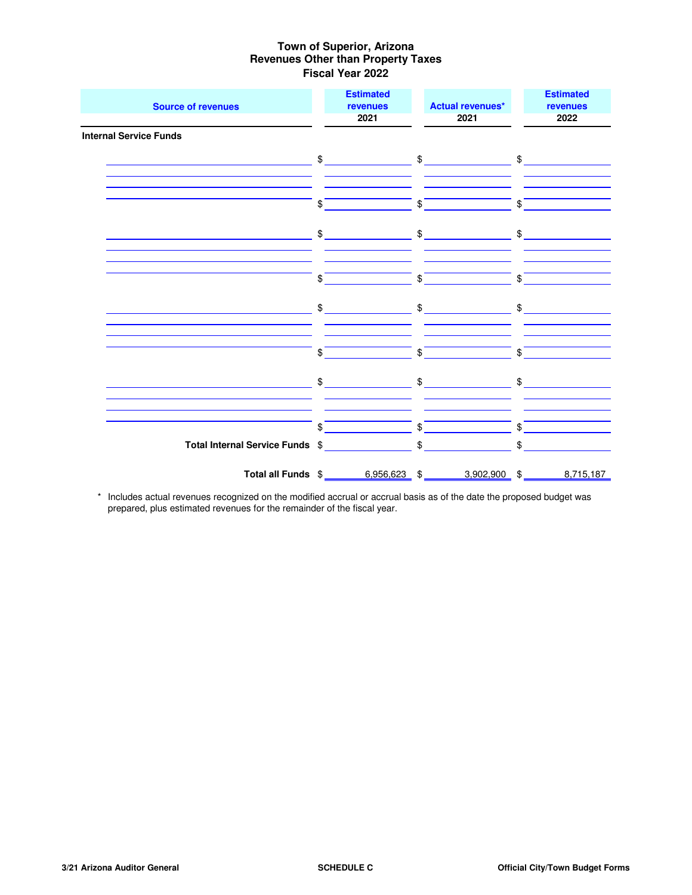| <b>Source of revenues</b>                       | <b>Estimated</b><br>revenues<br>2021                   | <b>Actual revenues*</b><br>2021 | <b>Estimated</b><br>revenues<br>2022                                                                                                                                                                                                                                                                                |
|-------------------------------------------------|--------------------------------------------------------|---------------------------------|---------------------------------------------------------------------------------------------------------------------------------------------------------------------------------------------------------------------------------------------------------------------------------------------------------------------|
| <b>Internal Service Funds</b>                   |                                                        |                                 |                                                                                                                                                                                                                                                                                                                     |
| <u> 1980 - Johann Barnett, fransk politik (</u> |                                                        | $\frac{1}{2}$ \$                |                                                                                                                                                                                                                                                                                                                     |
|                                                 | \$                                                     | $\frac{1}{2}$                   | \$                                                                                                                                                                                                                                                                                                                  |
|                                                 | $\frac{1}{2}$                                          | $\frac{1}{2}$                   | $\frac{1}{2}$                                                                                                                                                                                                                                                                                                       |
|                                                 | \$                                                     | \$                              | \$                                                                                                                                                                                                                                                                                                                  |
|                                                 | $\frac{1}{2}$                                          |                                 | $\frac{1}{2}$ $\frac{1}{2}$ $\frac{1}{2}$ $\frac{1}{2}$ $\frac{1}{2}$ $\frac{1}{2}$ $\frac{1}{2}$ $\frac{1}{2}$ $\frac{1}{2}$ $\frac{1}{2}$ $\frac{1}{2}$ $\frac{1}{2}$ $\frac{1}{2}$ $\frac{1}{2}$ $\frac{1}{2}$ $\frac{1}{2}$ $\frac{1}{2}$ $\frac{1}{2}$ $\frac{1}{2}$ $\frac{1}{2}$ $\frac{1}{2}$ $\frac{1}{2}$ |
|                                                 | \$                                                     | \$                              | \$                                                                                                                                                                                                                                                                                                                  |
|                                                 | $\mathbb{S}$                                           | $\mathbb{S}$                    | $\mathbb{S}$                                                                                                                                                                                                                                                                                                        |
|                                                 |                                                        |                                 |                                                                                                                                                                                                                                                                                                                     |
|                                                 | \$                                                     | $\frac{1}{2}$                   | \$                                                                                                                                                                                                                                                                                                                  |
|                                                 |                                                        |                                 | $\sim$                                                                                                                                                                                                                                                                                                              |
|                                                 | Total all Funds \$ 6,956,623 \$ 3,902,900 \$ 8,715,187 |                                 |                                                                                                                                                                                                                                                                                                                     |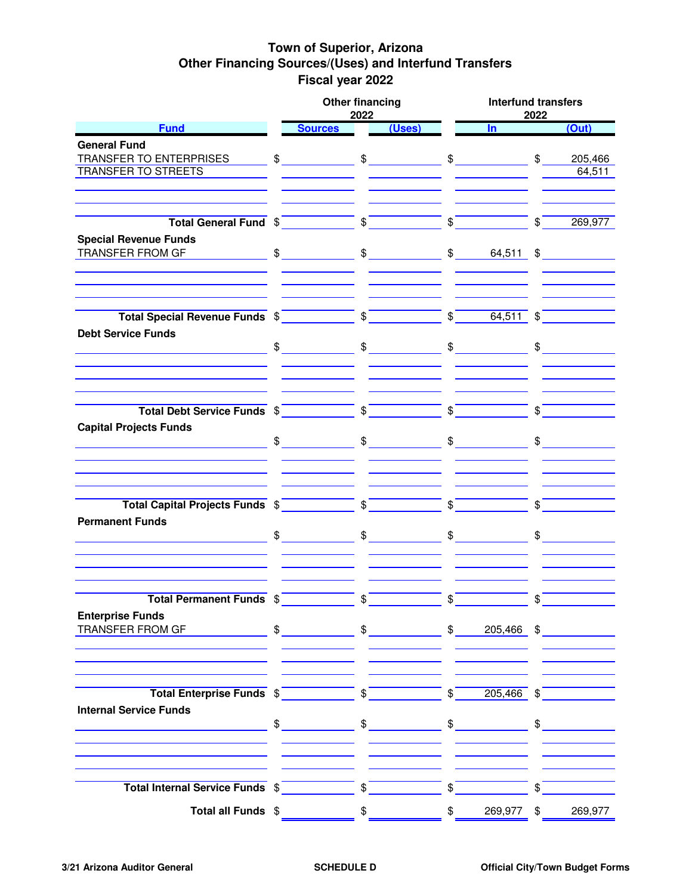## **Town of Superior, Arizona Other Financing Sources/(Uses) and Interfund Transfers Fiscal year 2022**

|                                                                                                               | <b>Other financing</b><br>2022                                                                                                                                                                                                                                                                                                                                                                                                                                                                                                        |                         |                                                                                                                                                                                                                                                                                                                                                                                                                                                                                                                                       |                           | <b>Interfund transfers</b><br>2022 |                |                        |  |  |  |
|---------------------------------------------------------------------------------------------------------------|---------------------------------------------------------------------------------------------------------------------------------------------------------------------------------------------------------------------------------------------------------------------------------------------------------------------------------------------------------------------------------------------------------------------------------------------------------------------------------------------------------------------------------------|-------------------------|---------------------------------------------------------------------------------------------------------------------------------------------------------------------------------------------------------------------------------------------------------------------------------------------------------------------------------------------------------------------------------------------------------------------------------------------------------------------------------------------------------------------------------------|---------------------------|------------------------------------|----------------|------------------------|--|--|--|
| <b>Fund</b>                                                                                                   | <b>Sources</b>                                                                                                                                                                                                                                                                                                                                                                                                                                                                                                                        |                         | (Uses)                                                                                                                                                                                                                                                                                                                                                                                                                                                                                                                                |                           | $\ln$                              |                | (Out)                  |  |  |  |
| <b>General Fund</b>                                                                                           |                                                                                                                                                                                                                                                                                                                                                                                                                                                                                                                                       |                         |                                                                                                                                                                                                                                                                                                                                                                                                                                                                                                                                       |                           |                                    |                |                        |  |  |  |
| TRANSFER TO ENTERPRISES                                                                                       |                                                                                                                                                                                                                                                                                                                                                                                                                                                                                                                                       |                         |                                                                                                                                                                                                                                                                                                                                                                                                                                                                                                                                       |                           |                                    |                | 205,466                |  |  |  |
| <b>TRANSFER TO STREETS</b>                                                                                    |                                                                                                                                                                                                                                                                                                                                                                                                                                                                                                                                       |                         |                                                                                                                                                                                                                                                                                                                                                                                                                                                                                                                                       |                           |                                    |                | 64,511                 |  |  |  |
|                                                                                                               |                                                                                                                                                                                                                                                                                                                                                                                                                                                                                                                                       |                         |                                                                                                                                                                                                                                                                                                                                                                                                                                                                                                                                       |                           |                                    |                |                        |  |  |  |
|                                                                                                               |                                                                                                                                                                                                                                                                                                                                                                                                                                                                                                                                       |                         |                                                                                                                                                                                                                                                                                                                                                                                                                                                                                                                                       |                           |                                    |                |                        |  |  |  |
|                                                                                                               |                                                                                                                                                                                                                                                                                                                                                                                                                                                                                                                                       |                         |                                                                                                                                                                                                                                                                                                                                                                                                                                                                                                                                       | $\overline{\phantom{a}}\$ |                                    | $\sqrt{s}$     | 269,977                |  |  |  |
|                                                                                                               |                                                                                                                                                                                                                                                                                                                                                                                                                                                                                                                                       |                         |                                                                                                                                                                                                                                                                                                                                                                                                                                                                                                                                       |                           |                                    |                |                        |  |  |  |
| <b>Special Revenue Funds</b><br>TRANSFER FROM GF                                                              |                                                                                                                                                                                                                                                                                                                                                                                                                                                                                                                                       |                         |                                                                                                                                                                                                                                                                                                                                                                                                                                                                                                                                       |                           |                                    |                |                        |  |  |  |
|                                                                                                               |                                                                                                                                                                                                                                                                                                                                                                                                                                                                                                                                       |                         |                                                                                                                                                                                                                                                                                                                                                                                                                                                                                                                                       |                           |                                    |                |                        |  |  |  |
|                                                                                                               |                                                                                                                                                                                                                                                                                                                                                                                                                                                                                                                                       |                         |                                                                                                                                                                                                                                                                                                                                                                                                                                                                                                                                       |                           |                                    |                |                        |  |  |  |
|                                                                                                               |                                                                                                                                                                                                                                                                                                                                                                                                                                                                                                                                       |                         |                                                                                                                                                                                                                                                                                                                                                                                                                                                                                                                                       |                           |                                    |                |                        |  |  |  |
|                                                                                                               |                                                                                                                                                                                                                                                                                                                                                                                                                                                                                                                                       |                         |                                                                                                                                                                                                                                                                                                                                                                                                                                                                                                                                       |                           |                                    |                |                        |  |  |  |
|                                                                                                               |                                                                                                                                                                                                                                                                                                                                                                                                                                                                                                                                       |                         |                                                                                                                                                                                                                                                                                                                                                                                                                                                                                                                                       |                           |                                    |                |                        |  |  |  |
| <b>Debt Service Funds</b>                                                                                     |                                                                                                                                                                                                                                                                                                                                                                                                                                                                                                                                       |                         |                                                                                                                                                                                                                                                                                                                                                                                                                                                                                                                                       |                           |                                    |                |                        |  |  |  |
|                                                                                                               | $\frac{1}{2}$                                                                                                                                                                                                                                                                                                                                                                                                                                                                                                                         |                         | $\textcolor{red}{\textbf{\$}}\textcolor{red}{\textbf{\$}}\textcolor{red}{\textbf{\$}}\textcolor{red}{\textbf{\$}}\textcolor{red}{\textbf{\$}}\textcolor{red}{\textbf{\$}}\textcolor{red}{\textbf{\$}}\textcolor{red}{\textbf{\$}}\textcolor{red}{\textbf{\$}}\textcolor{red}{\textbf{\$}}\textcolor{red}{\textbf{\$}}\textcolor{red}{\textbf{\$}}\textcolor{red}{\textbf{\$}}\textcolor{red}{\textbf{\$}}\textcolor{red}{\textbf{\$}}\textcolor{red}{\textbf{\$}}\textcolor{red}{\textbf{\$}}\textcolor{red}{\textbf{\$}}\textcolor{$ |                           |                                    |                |                        |  |  |  |
|                                                                                                               |                                                                                                                                                                                                                                                                                                                                                                                                                                                                                                                                       |                         |                                                                                                                                                                                                                                                                                                                                                                                                                                                                                                                                       |                           |                                    |                |                        |  |  |  |
|                                                                                                               |                                                                                                                                                                                                                                                                                                                                                                                                                                                                                                                                       |                         |                                                                                                                                                                                                                                                                                                                                                                                                                                                                                                                                       |                           |                                    |                |                        |  |  |  |
|                                                                                                               |                                                                                                                                                                                                                                                                                                                                                                                                                                                                                                                                       |                         |                                                                                                                                                                                                                                                                                                                                                                                                                                                                                                                                       |                           |                                    |                |                        |  |  |  |
| Total Debt Service Funds $\sqrt[6]{\qquad \qquad }$ $\sqrt[6]{\qquad \qquad }$ $\sqrt[6]{\qquad \qquad }$     |                                                                                                                                                                                                                                                                                                                                                                                                                                                                                                                                       |                         |                                                                                                                                                                                                                                                                                                                                                                                                                                                                                                                                       |                           |                                    | $\sqrt{s}$     |                        |  |  |  |
| <b>Capital Projects Funds</b>                                                                                 |                                                                                                                                                                                                                                                                                                                                                                                                                                                                                                                                       |                         |                                                                                                                                                                                                                                                                                                                                                                                                                                                                                                                                       |                           |                                    |                |                        |  |  |  |
|                                                                                                               | $\textcolor{red}{\textbf{\$}}\textcolor{red}{\textbf{\$}}\textcolor{red}{\textbf{\$}}\textcolor{red}{\textbf{\$}}\textcolor{red}{\textbf{\$}}\textcolor{red}{\textbf{\$}}\textcolor{red}{\textbf{\$}}\textcolor{red}{\textbf{\$}}\textcolor{red}{\textbf{\$}}\textcolor{red}{\textbf{\$}}\textcolor{red}{\textbf{\$}}\textcolor{red}{\textbf{\$}}\textcolor{red}{\textbf{\$}}\textcolor{red}{\textbf{\$}}\textcolor{red}{\textbf{\$}}\textcolor{red}{\textbf{\$}}\textcolor{red}{\textbf{\$}}\textcolor{red}{\textbf{\$}}\textcolor{$ |                         |                                                                                                                                                                                                                                                                                                                                                                                                                                                                                                                                       |                           |                                    |                | $\frac{1}{2}$          |  |  |  |
|                                                                                                               |                                                                                                                                                                                                                                                                                                                                                                                                                                                                                                                                       |                         |                                                                                                                                                                                                                                                                                                                                                                                                                                                                                                                                       |                           |                                    |                |                        |  |  |  |
|                                                                                                               |                                                                                                                                                                                                                                                                                                                                                                                                                                                                                                                                       |                         |                                                                                                                                                                                                                                                                                                                                                                                                                                                                                                                                       |                           |                                    |                |                        |  |  |  |
|                                                                                                               |                                                                                                                                                                                                                                                                                                                                                                                                                                                                                                                                       |                         |                                                                                                                                                                                                                                                                                                                                                                                                                                                                                                                                       |                           |                                    |                |                        |  |  |  |
| Total Capital Projects Funds $\sqrt[6]{\qquad \qquad }$ $\sqrt[6]{\qquad \qquad }$ $\sqrt[6]{\qquad \qquad }$ |                                                                                                                                                                                                                                                                                                                                                                                                                                                                                                                                       |                         |                                                                                                                                                                                                                                                                                                                                                                                                                                                                                                                                       |                           |                                    | $\mathfrak{S}$ |                        |  |  |  |
| <b>Permanent Funds</b>                                                                                        |                                                                                                                                                                                                                                                                                                                                                                                                                                                                                                                                       |                         |                                                                                                                                                                                                                                                                                                                                                                                                                                                                                                                                       |                           |                                    |                |                        |  |  |  |
|                                                                                                               | $\frac{1}{2}$                                                                                                                                                                                                                                                                                                                                                                                                                                                                                                                         |                         | $\frac{1}{2}$ $\frac{1}{2}$ $\frac{1}{2}$ $\frac{1}{2}$ $\frac{1}{2}$ $\frac{1}{2}$ $\frac{1}{2}$ $\frac{1}{2}$ $\frac{1}{2}$ $\frac{1}{2}$ $\frac{1}{2}$ $\frac{1}{2}$ $\frac{1}{2}$ $\frac{1}{2}$ $\frac{1}{2}$ $\frac{1}{2}$ $\frac{1}{2}$ $\frac{1}{2}$ $\frac{1}{2}$ $\frac{1}{2}$ $\frac{1}{2}$ $\frac{1}{2}$                                                                                                                                                                                                                   |                           |                                    |                |                        |  |  |  |
|                                                                                                               |                                                                                                                                                                                                                                                                                                                                                                                                                                                                                                                                       |                         |                                                                                                                                                                                                                                                                                                                                                                                                                                                                                                                                       |                           |                                    |                | $\frac{1}{2}$          |  |  |  |
|                                                                                                               |                                                                                                                                                                                                                                                                                                                                                                                                                                                                                                                                       |                         |                                                                                                                                                                                                                                                                                                                                                                                                                                                                                                                                       |                           |                                    |                |                        |  |  |  |
|                                                                                                               |                                                                                                                                                                                                                                                                                                                                                                                                                                                                                                                                       |                         |                                                                                                                                                                                                                                                                                                                                                                                                                                                                                                                                       |                           |                                    |                |                        |  |  |  |
|                                                                                                               |                                                                                                                                                                                                                                                                                                                                                                                                                                                                                                                                       |                         |                                                                                                                                                                                                                                                                                                                                                                                                                                                                                                                                       |                           |                                    |                |                        |  |  |  |
| <b>Total Permanent Funds \$</b>                                                                               |                                                                                                                                                                                                                                                                                                                                                                                                                                                                                                                                       |                         |                                                                                                                                                                                                                                                                                                                                                                                                                                                                                                                                       |                           |                                    |                |                        |  |  |  |
| <b>Enterprise Funds</b>                                                                                       |                                                                                                                                                                                                                                                                                                                                                                                                                                                                                                                                       |                         |                                                                                                                                                                                                                                                                                                                                                                                                                                                                                                                                       |                           |                                    |                |                        |  |  |  |
| TRANSFER FROM GF                                                                                              | $\textcircled{f}$ $\textcircled{f}$                                                                                                                                                                                                                                                                                                                                                                                                                                                                                                   |                         |                                                                                                                                                                                                                                                                                                                                                                                                                                                                                                                                       |                           |                                    |                | $\text{\$}$ 205,466 \$ |  |  |  |
|                                                                                                               |                                                                                                                                                                                                                                                                                                                                                                                                                                                                                                                                       |                         |                                                                                                                                                                                                                                                                                                                                                                                                                                                                                                                                       |                           |                                    |                |                        |  |  |  |
|                                                                                                               |                                                                                                                                                                                                                                                                                                                                                                                                                                                                                                                                       |                         |                                                                                                                                                                                                                                                                                                                                                                                                                                                                                                                                       |                           |                                    |                |                        |  |  |  |
|                                                                                                               |                                                                                                                                                                                                                                                                                                                                                                                                                                                                                                                                       |                         |                                                                                                                                                                                                                                                                                                                                                                                                                                                                                                                                       |                           |                                    |                |                        |  |  |  |
| Total Enterprise Funds \$                                                                                     |                                                                                                                                                                                                                                                                                                                                                                                                                                                                                                                                       |                         |                                                                                                                                                                                                                                                                                                                                                                                                                                                                                                                                       | $\sqrt[3]{ }$             | $205,466$ \$                       |                |                        |  |  |  |
| <b>Internal Service Funds</b>                                                                                 |                                                                                                                                                                                                                                                                                                                                                                                                                                                                                                                                       |                         |                                                                                                                                                                                                                                                                                                                                                                                                                                                                                                                                       |                           |                                    |                |                        |  |  |  |
|                                                                                                               | $\frac{1}{\sqrt{2}}$                                                                                                                                                                                                                                                                                                                                                                                                                                                                                                                  |                         | $\frac{1}{\sqrt{2}}$                                                                                                                                                                                                                                                                                                                                                                                                                                                                                                                  |                           | $\frac{1}{2}$                      |                | $\frac{1}{2}$          |  |  |  |
|                                                                                                               |                                                                                                                                                                                                                                                                                                                                                                                                                                                                                                                                       |                         |                                                                                                                                                                                                                                                                                                                                                                                                                                                                                                                                       |                           |                                    |                |                        |  |  |  |
|                                                                                                               |                                                                                                                                                                                                                                                                                                                                                                                                                                                                                                                                       |                         |                                                                                                                                                                                                                                                                                                                                                                                                                                                                                                                                       |                           |                                    |                |                        |  |  |  |
|                                                                                                               |                                                                                                                                                                                                                                                                                                                                                                                                                                                                                                                                       |                         |                                                                                                                                                                                                                                                                                                                                                                                                                                                                                                                                       |                           |                                    |                |                        |  |  |  |
| Total Internal Service Funds \$                                                                               |                                                                                                                                                                                                                                                                                                                                                                                                                                                                                                                                       | $\sqrt[6]{\frac{1}{2}}$ |                                                                                                                                                                                                                                                                                                                                                                                                                                                                                                                                       | \$                        |                                    | \$             |                        |  |  |  |
|                                                                                                               |                                                                                                                                                                                                                                                                                                                                                                                                                                                                                                                                       |                         |                                                                                                                                                                                                                                                                                                                                                                                                                                                                                                                                       |                           |                                    |                |                        |  |  |  |
| Total all Funds \$                                                                                            |                                                                                                                                                                                                                                                                                                                                                                                                                                                                                                                                       | \$                      |                                                                                                                                                                                                                                                                                                                                                                                                                                                                                                                                       | \$                        | 269,977                            | \$             | 269,977                |  |  |  |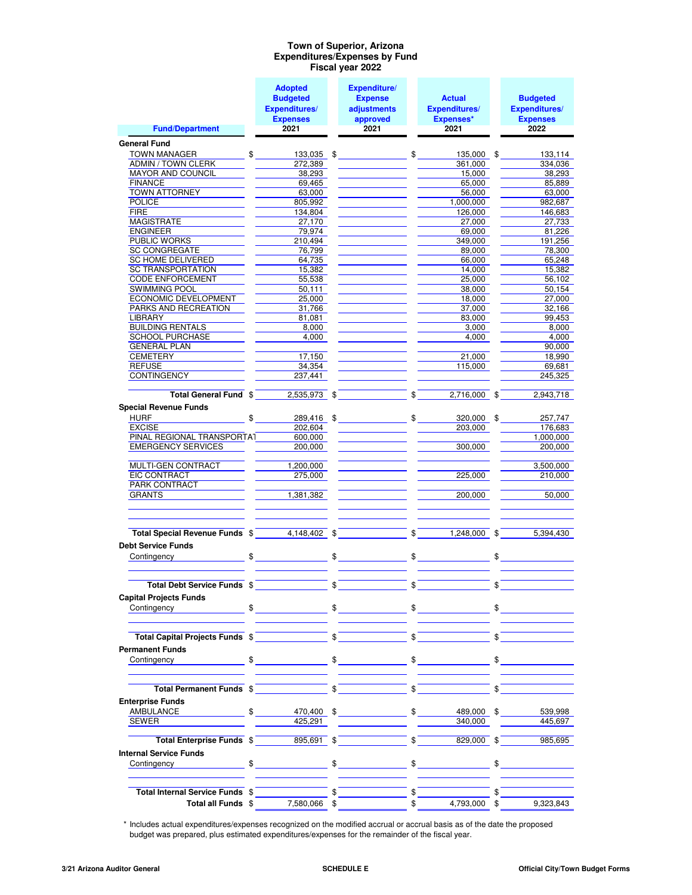#### **Expenditures/Expenses by Fund Fiscal year 2022 Town of Superior, Arizona**

|                                                                                                                                                                                                                                      | <b>Adopted</b>          |               | Expenditure/                   |              |                                 |                       |
|--------------------------------------------------------------------------------------------------------------------------------------------------------------------------------------------------------------------------------------|-------------------------|---------------|--------------------------------|--------------|---------------------------------|-----------------------|
|                                                                                                                                                                                                                                      | <b>Budgeted</b>         |               | <b>Expense</b>                 |              | <b>Actual</b>                   | <b>Budgeted</b>       |
|                                                                                                                                                                                                                                      | <b>Expenditures/</b>    |               | adjustments                    |              | <b>Expenditures/</b>            | <b>Expenditures/</b>  |
|                                                                                                                                                                                                                                      | <b>Expenses</b>         |               | approved                       |              | Expenses*                       | <b>Expenses</b>       |
| <b>Fund/Department</b>                                                                                                                                                                                                               | 2021                    |               | 2021                           |              | 2021                            | 2022                  |
| <b>General Fund</b>                                                                                                                                                                                                                  |                         |               |                                |              |                                 |                       |
| <b>TOWN MANAGER</b>                                                                                                                                                                                                                  | $\frac{1}{2}$           |               | $133,035$ \$ \$                |              | 135,000 \$                      | 133,114               |
| ADMIN / TOWN CLERK                                                                                                                                                                                                                   | 272,389                 |               |                                |              | 361,000                         | 334,036               |
| MAYOR AND COUNCIL                                                                                                                                                                                                                    | 38,293                  |               |                                |              | 15,000                          | 38,293                |
| <b>FINANCE</b>                                                                                                                                                                                                                       | 69,465                  |               |                                |              | 65,000                          | 85,889                |
| <b>TOWN ATTORNEY</b>                                                                                                                                                                                                                 | 63,000                  |               |                                |              | 56,000                          | 63,000                |
| POLICE                                                                                                                                                                                                                               | 805,992                 |               |                                |              | 1,000,000                       | 982,687               |
| <b>FIRE</b>                                                                                                                                                                                                                          | 134,804                 |               |                                |              | 126,000                         | 146,683               |
| MAGISTRATE                                                                                                                                                                                                                           | 27,170                  |               | <u> 1980 - John Barn Barns</u> |              | 27,000                          | 27,733                |
| <b>ENGINEER</b><br><b>PUBLIC WORKS</b>                                                                                                                                                                                               | 79,974                  |               |                                |              | 69,000                          | 81,226                |
| <b>SC CONGREGATE</b>                                                                                                                                                                                                                 | 210,494<br>76,799       |               |                                |              | 349,000<br>89,000               | 191,256<br>78,300     |
| SC HOME DELIVERED                                                                                                                                                                                                                    | 64,735                  |               |                                |              | 66,000                          | 65,248                |
| SC TRANSPORTATION                                                                                                                                                                                                                    | 15,382                  |               |                                |              | 14,000                          | 15,382                |
| <b>CODE ENFORCEMENT</b>                                                                                                                                                                                                              | 55,538                  |               |                                |              | 25,000                          | 56,102                |
| <b>SWIMMING POOL</b>                                                                                                                                                                                                                 | 50,111                  |               |                                |              | 38,000                          | 50,154                |
| <b>ECONOMIC DEVELOPMENT</b>                                                                                                                                                                                                          | 25,000                  |               |                                |              | 18,000                          | 27,000                |
| <b>PARKS AND RECREATION</b>                                                                                                                                                                                                          | 31,766                  |               |                                |              | 37.000                          | 32,166                |
| <b>LIBRARY Example 2008</b>                                                                                                                                                                                                          | 81,081                  |               |                                |              | 83,000                          | 99,453                |
| <b>BUILDING RENTALS</b>                                                                                                                                                                                                              | 8,000                   |               |                                |              | 3,000                           | 8,000                 |
| <b>SCHOOL PURCHASE</b>                                                                                                                                                                                                               | 4.000                   |               |                                |              | 4,000                           | 4.000                 |
| <b>GENERAL PLAN</b>                                                                                                                                                                                                                  |                         |               |                                |              |                                 | 90,000                |
| <b>CEMETERY</b>                                                                                                                                                                                                                      | 17,150                  |               |                                |              | 21,000                          | 18,990                |
| <b>REFUSE</b>                                                                                                                                                                                                                        | 34,354                  |               |                                |              | 115,000                         | 69,681                |
| CONTINGENCY                                                                                                                                                                                                                          | 237,441                 |               |                                |              |                                 | 245,325               |
| Total General Fund \$                                                                                                                                                                                                                |                         |               | 2,535,973 \$                   | $\sqrt[6]{}$ | 2,716,000 \$                    | 2,943,718             |
|                                                                                                                                                                                                                                      |                         |               |                                |              |                                 |                       |
| <b>Special Revenue Funds</b>                                                                                                                                                                                                         |                         |               |                                |              |                                 |                       |
| HURF<br><b>EXCISE</b>                                                                                                                                                                                                                | $\frac{1289,416}{5}$ \$ |               |                                |              |                                 | 320,000 \$<br>257,747 |
| PINAL REGIONAL TRANSPORTAT                                                                                                                                                                                                           | 202,604<br>600,000      |               |                                |              | 203,000                         | 176,683<br>1,000,000  |
| EMERGENCY SERVICES                                                                                                                                                                                                                   | 200,000                 |               |                                |              | 300,000                         | 200,000               |
|                                                                                                                                                                                                                                      |                         |               |                                |              |                                 |                       |
| MULTI-GEN CONTRACT                                                                                                                                                                                                                   | 1,200,000               |               |                                |              |                                 | 3,500,000             |
| EIC CONTRACT                                                                                                                                                                                                                         | 275,000                 |               |                                |              | 225,000                         | 210,000               |
| PARK CONTRACT                                                                                                                                                                                                                        |                         |               |                                |              |                                 |                       |
| <b>GRANTS</b>                                                                                                                                                                                                                        | 1,381,382               |               |                                |              | 200,000                         | 50,000                |
|                                                                                                                                                                                                                                      |                         |               |                                |              |                                 |                       |
|                                                                                                                                                                                                                                      |                         |               |                                |              |                                 |                       |
|                                                                                                                                                                                                                                      |                         |               |                                |              |                                 |                       |
| Total Special Revenue Funds $\frac{1}{2}$ $\frac{4,148,402}{4,148,402}$ $\frac{1}{2}$                                                                                                                                                |                         |               |                                |              | $\frac{1}{1}$<br>$1,248,000$ \$ | 5,394,430             |
| <b>Debt Service Funds</b>                                                                                                                                                                                                            |                         |               |                                |              |                                 |                       |
| <u>Contingency 5 Services and Services and Services and Services and Services and Services and Services and Services and Services and Services and Services and Services and Services and Services and Services and Services and</u> |                         |               |                                |              |                                 | $\frac{1}{2}$         |
|                                                                                                                                                                                                                                      |                         |               |                                |              |                                 |                       |
|                                                                                                                                                                                                                                      |                         |               |                                |              |                                 |                       |
| Total Debt Service Funds \$                                                                                                                                                                                                          |                         | \$            |                                | \$           |                                 |                       |
| <b>Capital Projects Funds</b>                                                                                                                                                                                                        |                         |               |                                |              |                                 |                       |
| \$<br>Contingency                                                                                                                                                                                                                    |                         |               | $\frac{1}{2}$                  |              | $\frac{1}{2}$                   |                       |
|                                                                                                                                                                                                                                      |                         |               |                                |              |                                 |                       |
|                                                                                                                                                                                                                                      |                         |               |                                |              |                                 |                       |
| Total Capital Projects Funds \$                                                                                                                                                                                                      |                         | $\mathbf{\$}$ |                                | \$           |                                 | \$                    |
| <b>Permanent Funds</b>                                                                                                                                                                                                               |                         |               |                                |              |                                 |                       |
| \$<br>Contingency                                                                                                                                                                                                                    |                         |               | $\sim$                         | \$           |                                 |                       |
|                                                                                                                                                                                                                                      |                         |               |                                |              |                                 |                       |
|                                                                                                                                                                                                                                      |                         |               |                                |              |                                 |                       |
| Total Permanent Funds \$                                                                                                                                                                                                             |                         | \$            |                                |              |                                 |                       |
| <b>Enterprise Funds</b>                                                                                                                                                                                                              |                         |               |                                |              |                                 |                       |
| AMBULANCE<br>\$                                                                                                                                                                                                                      | 470,400                 | \$            |                                | \$           | 489,000 \$                      | 539,998               |
| SEWER                                                                                                                                                                                                                                | 425.291                 |               |                                |              | 340,000                         | 445,697               |
|                                                                                                                                                                                                                                      |                         |               |                                |              |                                 |                       |
| Total Enterprise Funds \$                                                                                                                                                                                                            | 895,691                 |               |                                |              | 829,000 \$                      | 985,695               |
| <b>Internal Service Funds</b>                                                                                                                                                                                                        |                         |               |                                |              |                                 |                       |
| Contingency                                                                                                                                                                                                                          | $\frac{1}{2}$           | \$            |                                |              | $\frac{1}{2}$                   | \$                    |
|                                                                                                                                                                                                                                      |                         |               |                                |              |                                 |                       |
| Total Internal Service Funds \$                                                                                                                                                                                                      |                         |               |                                |              |                                 |                       |
|                                                                                                                                                                                                                                      |                         |               |                                |              |                                 |                       |
| Total all Funds \$                                                                                                                                                                                                                   | 7,580,066 \$            |               |                                | \$           | 4,793,000                       | \$<br>9,323,843       |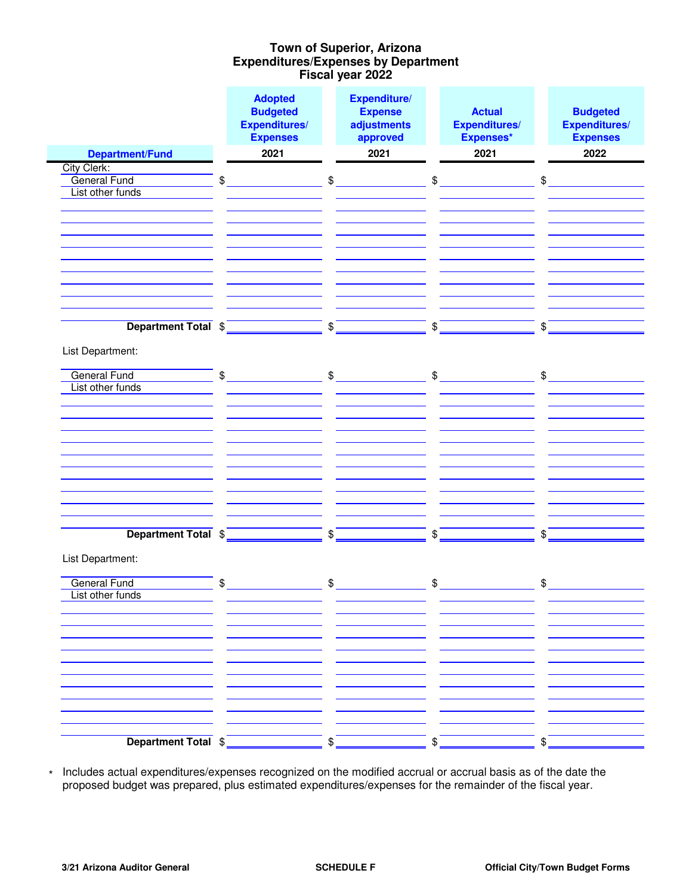## **Expenditures/Expenses by Department Fiscal year 2022 Town of Superior, Arizona**

|                        |               | <b>Adopted</b><br><b>Budgeted</b><br><b>Expenditures/</b><br><b>Expenses</b> | Expenditure/<br><b>Expense</b><br>adjustments<br>approved | <b>Actual</b><br><b>Expenditures/</b><br>Expenses* |                | <b>Budgeted</b><br><b>Expenditures/</b><br><b>Expenses</b> |
|------------------------|---------------|------------------------------------------------------------------------------|-----------------------------------------------------------|----------------------------------------------------|----------------|------------------------------------------------------------|
| <b>Department/Fund</b> |               | 2021                                                                         | 2021                                                      | 2021                                               |                | 2022                                                       |
| City Clerk:            |               |                                                                              |                                                           |                                                    |                |                                                            |
| General Fund           | \$            | \$                                                                           |                                                           | \$                                                 | $\mathfrak{S}$ |                                                            |
| List other funds       |               |                                                                              |                                                           |                                                    |                |                                                            |
|                        |               |                                                                              |                                                           |                                                    |                |                                                            |
|                        |               |                                                                              |                                                           |                                                    |                |                                                            |
|                        |               |                                                                              |                                                           |                                                    |                |                                                            |
|                        |               |                                                                              |                                                           |                                                    |                |                                                            |
|                        |               |                                                                              |                                                           |                                                    |                |                                                            |
|                        |               |                                                                              |                                                           |                                                    |                |                                                            |
|                        |               |                                                                              |                                                           |                                                    |                |                                                            |
|                        |               |                                                                              |                                                           |                                                    |                |                                                            |
| Department Total \$    |               | $\frac{1}{2}$                                                                |                                                           | \$                                                 | \$             |                                                            |
|                        |               |                                                                              |                                                           |                                                    |                |                                                            |
| List Department:       |               |                                                                              |                                                           |                                                    |                |                                                            |
| <b>General Fund</b>    | $\frac{1}{2}$ |                                                                              | $\frac{1}{2}$                                             | $\mathfrak{S}$                                     |                | $\frac{1}{2}$                                              |
| List other funds       |               |                                                                              |                                                           |                                                    |                |                                                            |
|                        |               |                                                                              |                                                           |                                                    |                |                                                            |
|                        |               |                                                                              |                                                           |                                                    |                |                                                            |
|                        |               |                                                                              |                                                           |                                                    |                |                                                            |
|                        |               |                                                                              |                                                           |                                                    |                |                                                            |
|                        |               |                                                                              |                                                           |                                                    |                |                                                            |
|                        |               |                                                                              |                                                           |                                                    |                |                                                            |
|                        |               |                                                                              |                                                           |                                                    |                |                                                            |
|                        |               |                                                                              |                                                           |                                                    |                |                                                            |
|                        |               |                                                                              |                                                           |                                                    |                |                                                            |
| Department Total \$    |               | \$                                                                           |                                                           | \$                                                 | \$             |                                                            |
|                        |               |                                                                              |                                                           |                                                    |                |                                                            |
| List Department:       |               |                                                                              |                                                           |                                                    |                |                                                            |
| <b>General Fund</b>    | \$            | \$                                                                           |                                                           | \$                                                 | \$             |                                                            |
| List other funds       |               |                                                                              |                                                           |                                                    |                |                                                            |
|                        |               |                                                                              |                                                           |                                                    |                |                                                            |
|                        |               |                                                                              |                                                           |                                                    |                |                                                            |
|                        |               |                                                                              |                                                           |                                                    |                |                                                            |
|                        |               |                                                                              |                                                           |                                                    |                |                                                            |
|                        |               |                                                                              |                                                           |                                                    |                |                                                            |
|                        |               |                                                                              |                                                           |                                                    |                |                                                            |
|                        |               |                                                                              |                                                           |                                                    |                |                                                            |
|                        |               |                                                                              |                                                           |                                                    |                |                                                            |
|                        |               |                                                                              |                                                           |                                                    |                |                                                            |
| Department Total \$    |               | \$                                                                           |                                                           | \$                                                 | \$             |                                                            |